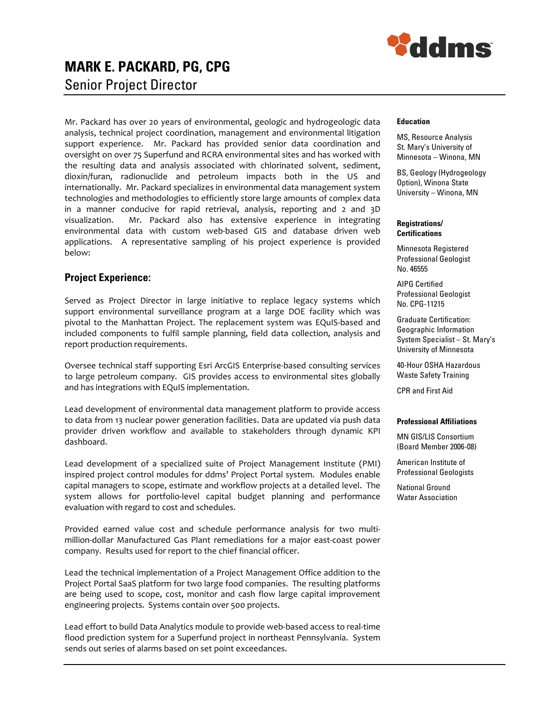

# MARK E. PACKARD, PG, CPG Senior Project Director

Mr. Packard has over 20 years of environmental, geologic and hydrogeologic data analysis, technical project coordination, management and environmental litigation support experience. Mr. Packard has provided senior data coordination and oversight on over 75 Superfund and RCRA environmental sites and has worked with the resulting data and analysis associated with chlorinated solvent, sediment, dioxin/furan, radionuclide and petroleum impacts both in the US and internationally. Mr. Packard specializes in environmental data management system technologies and methodologies to efficiently store large amounts of complex data in a manner conducive for rapid retrieval, analysis, reporting and 2 and 3D visualization. Mr. Packard also has extensive experience in integrating environmental data with custom web-based GIS and database driven web applications. A representative sampling of his project experience is provided below:

### Project Experience:

Served as Project Director in large initiative to replace legacy systems which support environmental surveillance program at a large DOE facility which was pivotal to the Manhattan Project. The replacement system was EQuIS-based and included components to fulfil sample planning, field data collection, analysis and report production requirements.

Oversee technical staff supporting Esri ArcGIS Enterprise-based consulting services to large petroleum company. GIS provides access to environmental sites globally and has integrations with EQuIS implementation.

Lead development of environmental data management platform to provide access to data from 13 nuclear power generation facilities. Data are updated via push data provider driven workflow and available to stakeholders through dynamic KPI dashboard.

Lead development of a specialized suite of Project Management Institute (PMI) inspired project control modules for ddms' Project Portal system. Modules enable capital managers to scope, estimate and workflow projects at a detailed level. The system allows for portfolio-level capital budget planning and performance evaluation with regard to cost and schedules.

Provided earned value cost and schedule performance analysis for two multimillion-dollar Manufactured Gas Plant remediations for a major east-coast power company. Results used for report to the chief financial officer.

Lead the technical implementation of a Project Management Office addition to the Project Portal SaaS platform for two large food companies. The resulting platforms are being used to scope, cost, monitor and cash flow large capital improvement engineering projects. Systems contain over 500 projects.

Lead effort to build Data Analytics module to provide web-based access to real-time flood prediction system for a Superfund project in northeast Pennsylvania. System sends out series of alarms based on set point exceedances.

#### Education

MS, Resource Analysis St. Mary's University of Minnesota – Winona, MN

BS, Geology (Hydrogeology Option), Winona State University – Winona, MN

#### Registrations/ **Certifications**

Minnesota Registered Professional Geologist No. 46555

AIPG Certified Professional Geologist No. CPG-11215

Graduate Certification: Geographic Information System Specialist – St. Mary's University of Minnesota

40-Hour OSHA Hazardous Waste Safety Training

CPR and First Aid

#### Professional Affiliations

MN GIS/LIS Consortium (Board Member 2006-08)

American Institute of Professional Geologists

National Ground Water Association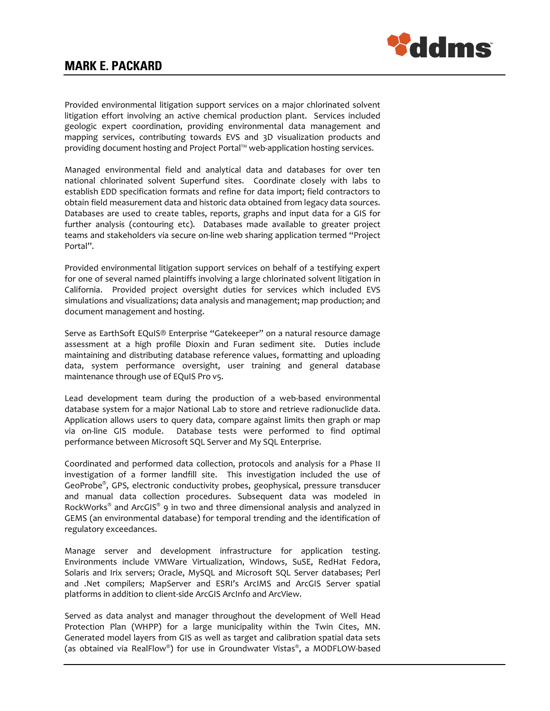



Provided environmental litigation support services on a major chlorinated solvent litigation effort involving an active chemical production plant. Services included geologic expert coordination, providing environmental data management and mapping services, contributing towards EVS and 3D visualization products and providing document hosting and Project Portal™ web-application hosting services.

Managed environmental field and analytical data and databases for over ten national chlorinated solvent Superfund sites. Coordinate closely with labs to establish EDD specification formats and refine for data import; field contractors to obtain field measurement data and historic data obtained from legacy data sources. Databases are used to create tables, reports, graphs and input data for a GIS for further analysis (contouring etc). Databases made available to greater project teams and stakeholders via secure on-line web sharing application termed "Project Portal".

Provided environmental litigation support services on behalf of a testifying expert for one of several named plaintiffs involving a large chlorinated solvent litigation in California. Provided project oversight duties for services which included EVS simulations and visualizations; data analysis and management; map production; and document management and hosting.

Serve as EarthSoft EQuIS® Enterprise "Gatekeeper" on a natural resource damage assessment at a high profile Dioxin and Furan sediment site. Duties include maintaining and distributing database reference values, formatting and uploading data, system performance oversight, user training and general database maintenance through use of EQuIS Pro v5.

Lead development team during the production of a web-based environmental database system for a major National Lab to store and retrieve radionuclide data. Application allows users to query data, compare against limits then graph or map via on-line GIS module. Database tests were performed to find optimal performance between Microsoft SQL Server and My SQL Enterprise.

Coordinated and performed data collection, protocols and analysis for a Phase II investigation of a former landfill site. This investigation included the use of GeoProbe® , GPS, electronic conductivity probes, geophysical, pressure transducer and manual data collection procedures. Subsequent data was modeled in RockWorks<sup>®</sup> and ArcGIS<sup>®</sup> 9 in two and three dimensional analysis and analyzed in GEMS (an environmental database) for temporal trending and the identification of regulatory exceedances.

Manage server and development infrastructure for application testing. Environments include VMWare Virtualization, Windows, SuSE, RedHat Fedora, Solaris and Irix servers; Oracle, MySQL and Microsoft SQL Server databases; Perl and .Net compilers; MapServer and ESRI's ArcIMS and ArcGIS Server spatial platforms in addition to client-side ArcGIS ArcInfo and ArcView.

Served as data analyst and manager throughout the development of Well Head Protection Plan (WHPP) for a large municipality within the Twin Cites, MN. Generated model layers from GIS as well as target and calibration spatial data sets (as obtained via RealFlow® ) for use in Groundwater Vistas® , a MODFLOW-based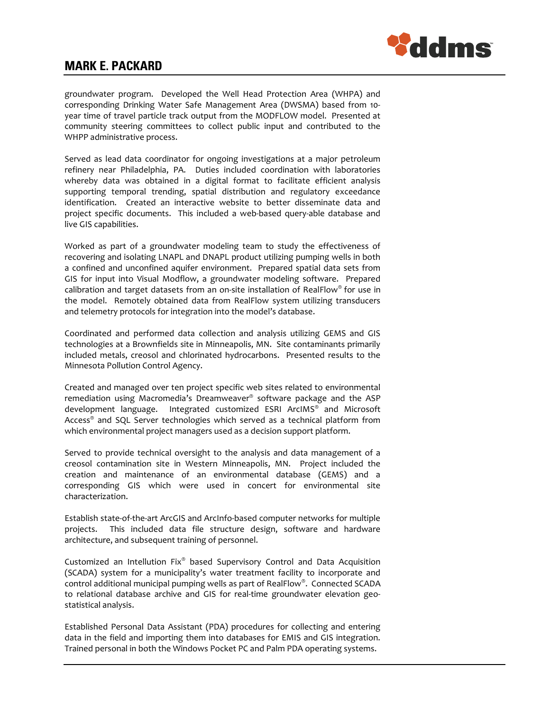

groundwater program. Developed the Well Head Protection Area (WHPA) and corresponding Drinking Water Safe Management Area (DWSMA) based from 10 year time of travel particle track output from the MODFLOW model. Presented at community steering committees to collect public input and contributed to the WHPP administrative process.

Served as lead data coordinator for ongoing investigations at a major petroleum refinery near Philadelphia, PA. Duties included coordination with laboratories whereby data was obtained in a digital format to facilitate efficient analysis supporting temporal trending, spatial distribution and regulatory exceedance identification. Created an interactive website to better disseminate data and project specific documents. This included a web-based query-able database and live GIS capabilities.

Worked as part of a groundwater modeling team to study the effectiveness of recovering and isolating LNAPL and DNAPL product utilizing pumping wells in both a confined and unconfined aquifer environment. Prepared spatial data sets from GIS for input into Visual Modflow, a groundwater modeling software. Prepared calibration and target datasets from an on-site installation of RealFlow $\textdegree$  for use in the model. Remotely obtained data from RealFlow system utilizing transducers and telemetry protocols for integration into the model's database.

Coordinated and performed data collection and analysis utilizing GEMS and GIS technologies at a Brownfields site in Minneapolis, MN. Site contaminants primarily included metals, creosol and chlorinated hydrocarbons. Presented results to the Minnesota Pollution Control Agency.

Created and managed over ten project specific web sites related to environmental remediation using Macromedia's Dreamweaver® software package and the ASP development language. Integrated customized ESRI ArcIMS® and Microsoft Access® and SQL Server technologies which served as a technical platform from which environmental project managers used as a decision support platform.

Served to provide technical oversight to the analysis and data management of a creosol contamination site in Western Minneapolis, MN. Project included the creation and maintenance of an environmental database (GEMS) and a corresponding GIS which were used in concert for environmental site characterization.

Establish state-of-the-art ArcGIS and ArcInfo-based computer networks for multiple projects. This included data file structure design, software and hardware architecture, and subsequent training of personnel.

Customized an Intellution Fix® based Supervisory Control and Data Acquisition (SCADA) system for a municipality's water treatment facility to incorporate and control additional municipal pumping wells as part of RealFlow® . Connected SCADA to relational database archive and GIS for real-time groundwater elevation geostatistical analysis.

Established Personal Data Assistant (PDA) procedures for collecting and entering data in the field and importing them into databases for EMIS and GIS integration. Trained personal in both the Windows Pocket PC and Palm PDA operating systems.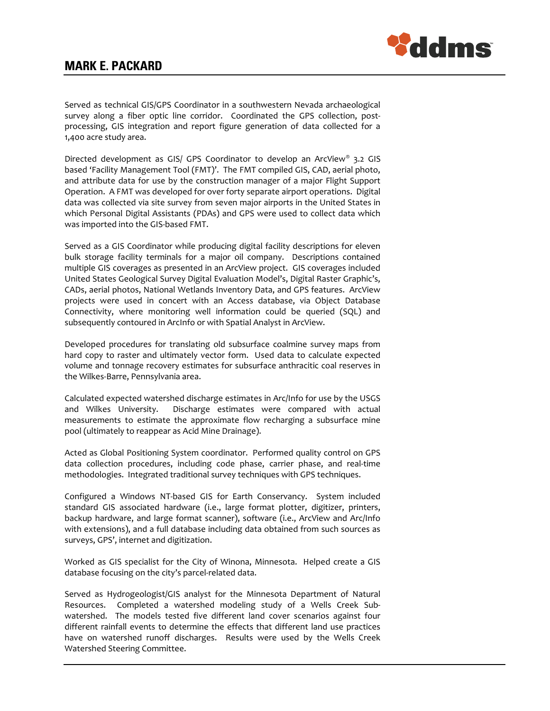

Served as technical GIS/GPS Coordinator in a southwestern Nevada archaeological survey along a fiber optic line corridor. Coordinated the GPS collection, postprocessing, GIS integration and report figure generation of data collected for a 1,400 acre study area.

Directed development as GIS/ GPS Coordinator to develop an ArcView® 3.2 GIS based 'Facility Management Tool (FMT)'. The FMT compiled GIS, CAD, aerial photo, and attribute data for use by the construction manager of a major Flight Support Operation. A FMT was developed for over forty separate airport operations. Digital data was collected via site survey from seven major airports in the United States in which Personal Digital Assistants (PDAs) and GPS were used to collect data which was imported into the GIS-based FMT.

Served as a GIS Coordinator while producing digital facility descriptions for eleven bulk storage facility terminals for a major oil company. Descriptions contained multiple GIS coverages as presented in an ArcView project. GIS coverages included United States Geological Survey Digital Evaluation Model's, Digital Raster Graphic's, CADs, aerial photos, National Wetlands Inventory Data, and GPS features. ArcView projects were used in concert with an Access database, via Object Database Connectivity, where monitoring well information could be queried (SQL) and subsequently contoured in ArcInfo or with Spatial Analyst in ArcView.

Developed procedures for translating old subsurface coalmine survey maps from hard copy to raster and ultimately vector form. Used data to calculate expected volume and tonnage recovery estimates for subsurface anthracitic coal reserves in the Wilkes-Barre, Pennsylvania area.

Calculated expected watershed discharge estimates in Arc/Info for use by the USGS and Wilkes University. Discharge estimates were compared with actual measurements to estimate the approximate flow recharging a subsurface mine pool (ultimately to reappear as Acid Mine Drainage).

Acted as Global Positioning System coordinator. Performed quality control on GPS data collection procedures, including code phase, carrier phase, and real-time methodologies. Integrated traditional survey techniques with GPS techniques.

Configured a Windows NT-based GIS for Earth Conservancy. System included standard GIS associated hardware (i.e., large format plotter, digitizer, printers, backup hardware, and large format scanner), software (i.e., ArcView and Arc/Info with extensions), and a full database including data obtained from such sources as surveys, GPS', internet and digitization.

Worked as GIS specialist for the City of Winona, Minnesota. Helped create a GIS database focusing on the city's parcel-related data.

Served as Hydrogeologist/GIS analyst for the Minnesota Department of Natural Resources. Completed a watershed modeling study of a Wells Creek Subwatershed. The models tested five different land cover scenarios against four different rainfall events to determine the effects that different land use practices have on watershed runoff discharges. Results were used by the Wells Creek Watershed Steering Committee.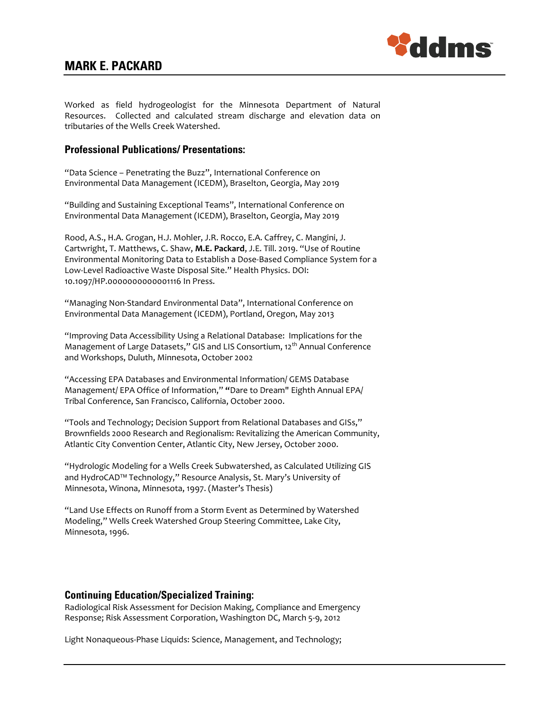

Worked as field hydrogeologist for the Minnesota Department of Natural Resources. Collected and calculated stream discharge and elevation data on tributaries of the Wells Creek Watershed.

### Professional Publications/ Presentations:

"Data Science – Penetrating the Buzz", International Conference on Environmental Data Management (ICEDM), Braselton, Georgia, May 2019

"Building and Sustaining Exceptional Teams", International Conference on Environmental Data Management (ICEDM), Braselton, Georgia, May 2019

Rood, A.S., H.A. Grogan, H.J. Mohler, J.R. Rocco, E.A. Caffrey, C. Mangini, J. Cartwright, T. Matthews, C. Shaw, M.E. Packard, J.E. Till. 2019. "Use of Routine Environmental Monitoring Data to Establish a Dose-Based Compliance System for a Low-Level Radioactive Waste Disposal Site." Health Physics. DOI: 10.1097/HP.0000000000001116 In Press.

"Managing Non-Standard Environmental Data", International Conference on Environmental Data Management (ICEDM), Portland, Oregon, May 2013

"Improving Data Accessibility Using a Relational Database: Implications for the Management of Large Datasets," GIS and LIS Consortium, 12<sup>th</sup> Annual Conference and Workshops, Duluth, Minnesota, October 2002

"Accessing EPA Databases and Environmental Information/ GEMS Database Management/ EPA Office of Information," "Dare to Dream" Eighth Annual EPA/ Tribal Conference, San Francisco, California, October 2000.

"Tools and Technology; Decision Support from Relational Databases and GISs," Brownfields 2000 Research and Regionalism: Revitalizing the American Community, Atlantic City Convention Center, Atlantic City, New Jersey, October 2000.

"Hydrologic Modeling for a Wells Creek Subwatershed, as Calculated Utilizing GIS and HydroCAD™ Technology," Resource Analysis, St. Mary's University of Minnesota, Winona, Minnesota, 1997. (Master's Thesis)

"Land Use Effects on Runoff from a Storm Event as Determined by Watershed Modeling," Wells Creek Watershed Group Steering Committee, Lake City, Minnesota, 1996.

#### Continuing Education/Specialized Training:

Radiological Risk Assessment for Decision Making, Compliance and Emergency Response; Risk Assessment Corporation, Washington DC, March 5-9, 2012

Light Nonaqueous-Phase Liquids: Science, Management, and Technology;